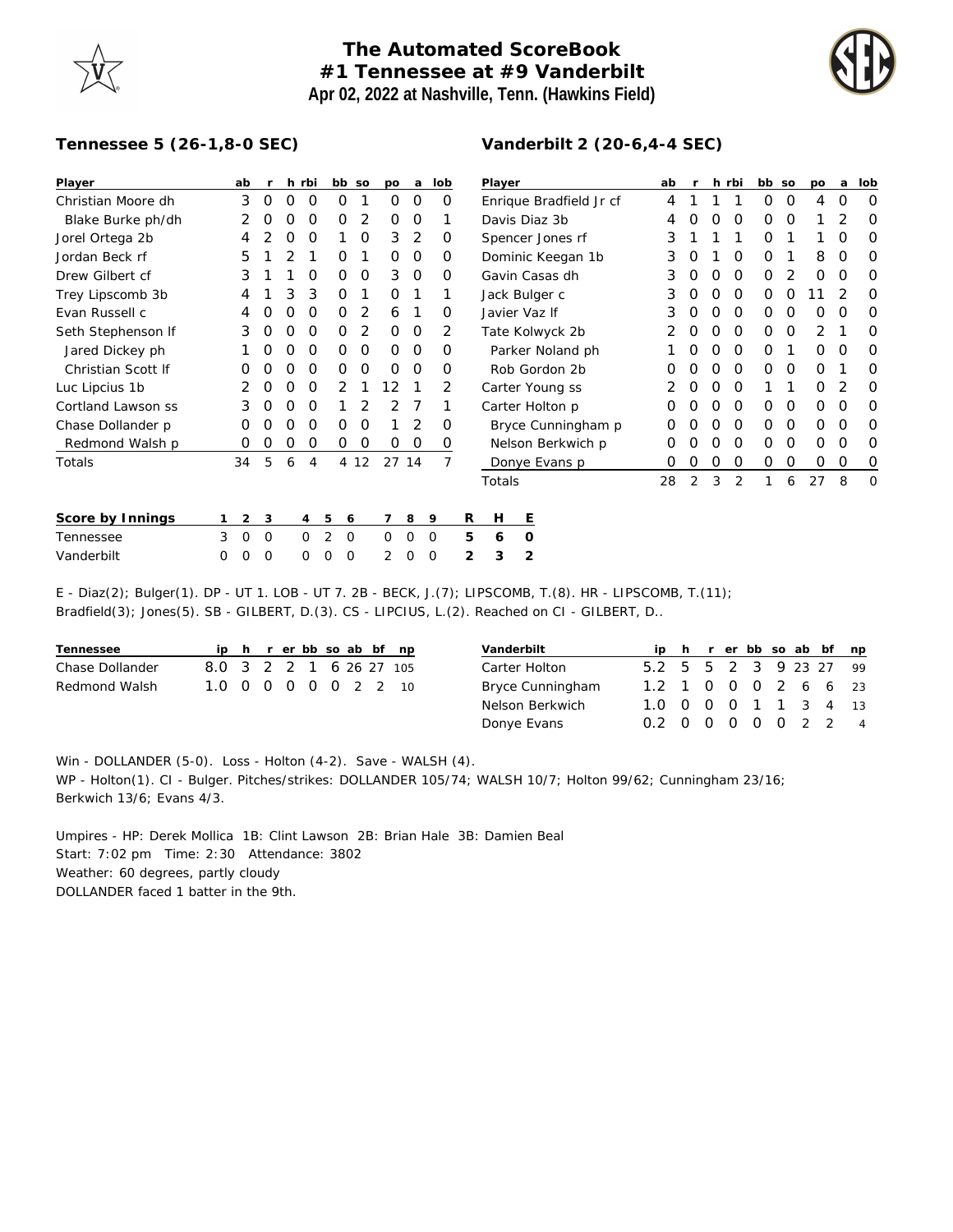## **The Automated ScoreBook #1 Tennessee at #9 Vanderbilt Apr 02, 2022 at Nashville, Tenn. (Hawkins Field)**



## **Tennessee 5 (26-1,8-0 SEC)**

| Player             |   | ab          |                |                  | h rbi       |          | bb so    | po       | a             | lob            |                         | Player            | ab                 |    |   | h rbi    | bb so    |   | po | a        | lob      |   |
|--------------------|---|-------------|----------------|------------------|-------------|----------|----------|----------|---------------|----------------|-------------------------|-------------------|--------------------|----|---|----------|----------|---|----|----------|----------|---|
| Christian Moore dh |   | 3           | 0              | 0                | 0           | 0        |          | 0        | 0             | 0              | Enrique Bradfield Jr cf |                   |                    | 4  |   |          |          | 0 | 0  | 4        | O        | 0 |
| Blake Burke ph/dh  |   | 2           | $\left($ )     | O                | $\Omega$    | O        | 2        | $\Omega$ | $\Omega$      |                |                         | Davis Diaz 3b     | 4                  |    |   | $\Omega$ | 0        | 0 |    |          | $\Omega$ |   |
| Jorel Ortega 2b    |   | 4           |                |                  | O           |          | 0        | 3        | 2             | O              |                         | Spencer Jones rf  | 3                  |    |   |          | O        |   |    | $\Omega$ | $\Omega$ |   |
| Jordan Beck rf     |   | 5           |                |                  |             | Ο        |          | $\Omega$ | $\Omega$      | 0              |                         | Dominic Keegan 1b | 3                  | O  |   | $\Omega$ | 0        |   | 8  | $\Omega$ | 0        |   |
| Drew Gilbert cf    |   | 3           |                |                  | O           | 0        | 0        | 3        | $\Omega$      | 0              |                         | Gavin Casas dh    | 3                  | O  | O | $\Omega$ | 0        | 2 | O  | O        | 0        |   |
| Trey Lipscomb 3b   |   | 4           |                | 3                | 3           | 0        |          | $\Omega$ |               |                |                         | Jack Bulger c     | 3                  | O  | O | 0        | 0        | O |    |          | O        |   |
| Evan Russell c     |   |             |                |                  | O           | O        | 2        | 6        |               | O              |                         |                   | Javier Vaz If      | 3  |   | O        | O        | 0 | O  | O        | $\Omega$ | 0 |
| Seth Stephenson If |   | 3           | O              | O                | 0           | 0        | 2        | $\Omega$ | 0             | 2              |                         | Tate Kolwyck 2b   |                    | O  | O | $\Omega$ | 0        | 0 | 2  |          | 0        |   |
| Jared Dickey ph    |   |             |                | O                | O           | Ο        | 0        | $\Omega$ | 0             | Ο              |                         | Parker Noland ph  |                    |    |   | O        | O        | O |    | 0        | O        | O |
| Christian Scott If |   |             |                |                  | O           | 0        | 0        | $\Omega$ | $\Omega$      | Ο              |                         | Rob Gordon 2b     |                    | O  |   | O        | $\Omega$ | 0 | 0  | O        |          | O |
| Luc Lipcius 1b     |   | 2           | O              | O                | 0           | 2        |          | 12       |               | 2              |                         | Carter Young ss   | 2                  | O  | O | $\Omega$ |          |   | O  | 2        | 0        |   |
| Cortland Lawson ss |   | 3           | $\left($ )     | O                | 0           |          | 2        | 2        |               |                |                         |                   | Carter Holton p    | 0  | O | O        | $\Omega$ | 0 | 0  | 0        | O        | 0 |
| Chase Dollander p  |   | O           |                | $\left( \right)$ | O           | Ο        | 0        |          | 2             | O              |                         |                   | Bryce Cunningham p | O  |   | O        | $\Omega$ | 0 | 0  | 0        | O        | O |
| Redmond Walsh p    |   | O           | $\left($ )     | Ο                | O           | 0        | 0        | 0        | 0             | 0              |                         | Nelson Berkwich p |                    |    |   |          | $\Omega$ | O | O  | O        | $\Omega$ | O |
| Totals             |   | 34          | 5              | 6                | 4           |          | 4 12     |          | 27 14         | $\overline{7}$ |                         |                   | Donye Evans p      | 0  | 0 | 0        | 0        | 0 | 0  | 0        | 0        | 0 |
|                    |   |             |                |                  |             |          |          |          |               |                |                         | Totals            |                    | 28 | 2 | 3        | 2        |   | 6  | 27       | 8        | 0 |
| Score by Innings   |   | 2           | 3              |                  | 4           | 5        | 6        |          | 8             | 9              | R                       | H                 | Ε                  |    |   |          |          |   |    |          |          |   |
| Tennessee          | 3 | $\mathbf 0$ | $\overline{0}$ |                  | $\Omega$    | 2        | $\Omega$ | $\Omega$ | $\mathcal{O}$ | $\mathcal{O}$  | 5                       | 6                 | $\circ$            |    |   |          |          |   |    |          |          |   |
| Vanderbilt         | 0 | 0           | 0              |                  | $\mathbf 0$ | $\Omega$ | 0        | 2        | 0             | $\circ$        | 2                       | 3                 | $\overline{2}$     |    |   |          |          |   |    |          |          |   |

E - Diaz(2); Bulger(1). DP - UT 1. LOB - UT 7. 2B - BECK, J.(7); LIPSCOMB, T.(8). HR - LIPSCOMB, T.(11); Bradfield(3); Jones(5). SB - GILBERT, D.(3). CS - LIPCIUS, L.(2). Reached on CI - GILBERT, D..

| Tennessee       |                         |  |  |  | ip h r er bb so ab bf np |
|-----------------|-------------------------|--|--|--|--------------------------|
| Chase Dollander | 8.0 3 2 2 1 6 26 27 105 |  |  |  |                          |
| Redmond Walsh   | 1.0 0 0 0 0 0 2 2 10    |  |  |  |                          |

| Vanderbilt       |                        |  |  |  | ip h r er bb so ab bf np |                |
|------------------|------------------------|--|--|--|--------------------------|----------------|
| Carter Holton    | 5.2 5 5 2 3 9 23 27 99 |  |  |  |                          |                |
| Bryce Cunningham | 1.2 1 0 0 0 2 6 6 23   |  |  |  |                          |                |
| Nelson Berkwich  | 1.0 0 0 0 1 1 3 4 13   |  |  |  |                          |                |
| Donye Evans      | 0.2 0 0 0 0 0 2 2      |  |  |  |                          | $\overline{4}$ |

Win - DOLLANDER (5-0). Loss - Holton (4-2). Save - WALSH (4). WP - Holton(1). CI - Bulger. Pitches/strikes: DOLLANDER 105/74; WALSH 10/7; Holton 99/62; Cunningham 23/16; Berkwich 13/6; Evans 4/3.

Umpires - HP: Derek Mollica 1B: Clint Lawson 2B: Brian Hale 3B: Damien Beal Start: 7:02 pm Time: 2:30 Attendance: 3802 Weather: 60 degrees, partly cloudy DOLLANDER faced 1 batter in the 9th.

## **Vanderbilt 2 (20-6,4-4 SEC)**